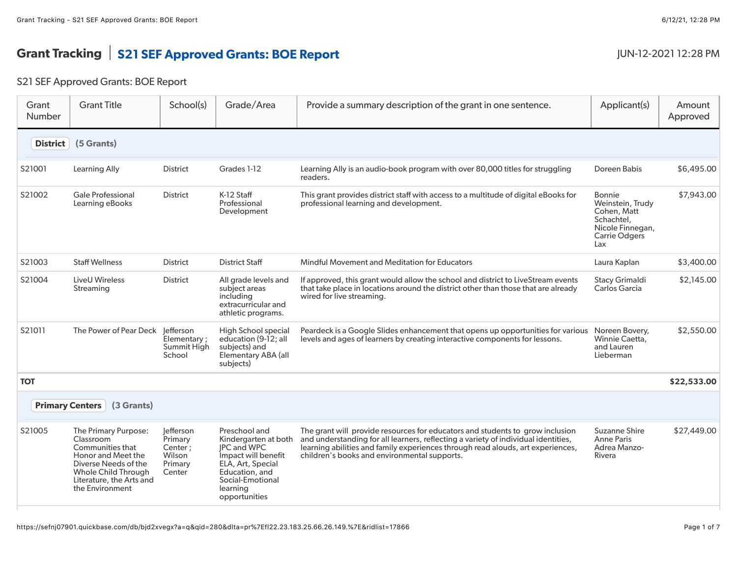## Grant Tracking S21 SEF Approved Grants: BOE Report JUN-12-2021 12:28 PM

## S21 SEF Approved Grants: BOE Report

| Grant<br>Number        | <b>Grant Title</b>                                                                                                                                                        | School(s)                                                      | Grade/Area                                                                                                                                                                 | Provide a summary description of the grant in one sentence.                                                                                                                                                                                                                                            | Applicant(s)                                                                                                      | Amount<br>Approved |
|------------------------|---------------------------------------------------------------------------------------------------------------------------------------------------------------------------|----------------------------------------------------------------|----------------------------------------------------------------------------------------------------------------------------------------------------------------------------|--------------------------------------------------------------------------------------------------------------------------------------------------------------------------------------------------------------------------------------------------------------------------------------------------------|-------------------------------------------------------------------------------------------------------------------|--------------------|
| <b>District</b>        | (5 Grants)                                                                                                                                                                |                                                                |                                                                                                                                                                            |                                                                                                                                                                                                                                                                                                        |                                                                                                                   |                    |
| S21001                 | Learning Ally                                                                                                                                                             | District                                                       | Grades 1-12                                                                                                                                                                | Learning Ally is an audio-book program with over 80,000 titles for struggling<br>readers.                                                                                                                                                                                                              | Doreen Babis                                                                                                      | \$6,495.00         |
| S21002                 | <b>Gale Professional</b><br>Learning eBooks                                                                                                                               | <b>District</b>                                                | K-12 Staff<br>Professional<br>Development                                                                                                                                  | This grant provides district staff with access to a multitude of digital eBooks for<br>professional learning and development.                                                                                                                                                                          | <b>Bonnie</b><br>Weinstein, Trudy<br>Cohen, Matt<br>Schachtel,<br>Nicole Finnegan,<br><b>Carrie Odgers</b><br>Lax | \$7,943.00         |
| S21003                 | <b>Staff Wellness</b>                                                                                                                                                     | <b>District</b>                                                | <b>District Staff</b>                                                                                                                                                      | Mindful Movement and Meditation for Educators                                                                                                                                                                                                                                                          | Laura Kaplan                                                                                                      | \$3,400.00         |
| S21004                 | LiveU Wireless<br>Streaming                                                                                                                                               | <b>District</b>                                                | All grade levels and<br>subject areas<br>including<br>extracurricular and<br>athletic programs.                                                                            | If approved, this grant would allow the school and district to LiveStream events<br>that take place in locations around the district other than those that are already<br>wired for live streaming.                                                                                                    | Stacy Grimaldi<br>Carlos Garcia                                                                                   | \$2,145.00         |
| S21011                 | The Power of Pear Deck Jefferson                                                                                                                                          | Elementary;<br>Summit High<br>School                           | High School special<br>education (9-12; all<br>subjects) and<br>Elementary ABA (all<br>subjects)                                                                           | Peardeck is a Google Slides enhancement that opens up opportunities for various<br>levels and ages of learners by creating interactive components for lessons.                                                                                                                                         | Noreen Bovery,<br>Winnie Caetta,<br>and Lauren<br>Lieberman                                                       | \$2,550.00         |
| <b>TOT</b>             |                                                                                                                                                                           |                                                                |                                                                                                                                                                            |                                                                                                                                                                                                                                                                                                        |                                                                                                                   | \$22,533.00        |
| <b>Primary Centers</b> | (3 Grants)                                                                                                                                                                |                                                                |                                                                                                                                                                            |                                                                                                                                                                                                                                                                                                        |                                                                                                                   |                    |
| S21005                 | The Primary Purpose:<br>Classroom<br>Communities that<br>Honor and Meet the<br>Diverse Needs of the<br>Whole Child Through<br>Literature, the Arts and<br>the Environment | lefferson<br>Primary<br>Center;<br>Wilson<br>Primary<br>Center | Preschool and<br>Kindergarten at both<br><b>JPC</b> and WPC<br>Impact will benefit<br>ELA, Art, Special<br>Education, and<br>Social-Emotional<br>learning<br>opportunities | The grant will provide resources for educators and students to grow inclusion<br>and understanding for all learners, reflecting a variety of individual identities,<br>learning abilities and family experiences through read alouds, art experiences,<br>children's books and environmental supports. | Suzanne Shire<br><b>Anne Paris</b><br>Adrea Manzo-<br><b>Rivera</b>                                               | \$27,449.00        |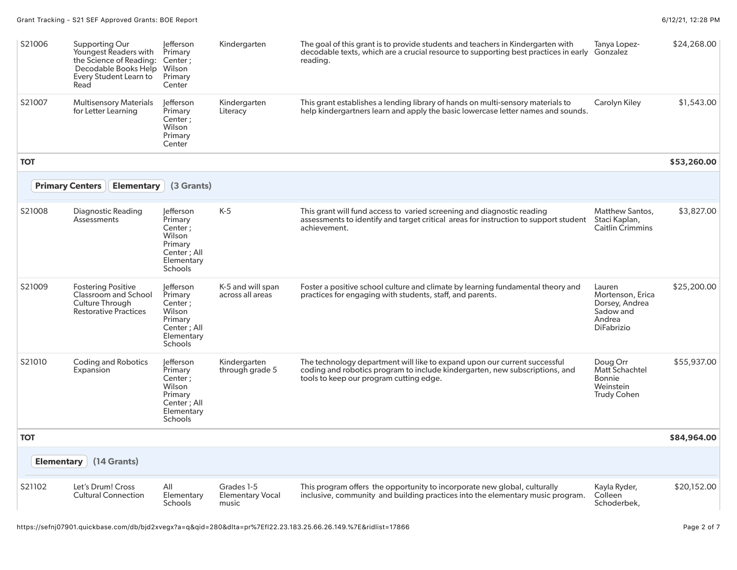| S21006                 | Supporting Our<br>Youngest Readers with<br>the Science of Reading:<br>Decodable Books Help<br>Every Student Learn to<br>Read | lefferson<br>Primary<br>Center;<br>Wilson<br>Primary<br>Center                                      | Kindergarten                                   | The goal of this grant is to provide students and teachers in Kindergarten with<br>decodable texts, which are a crucial resource to supporting best practices in early Gonzalez<br>reading.         | Tanya Lopez-                                                                             | \$24,268.00 |
|------------------------|------------------------------------------------------------------------------------------------------------------------------|-----------------------------------------------------------------------------------------------------|------------------------------------------------|-----------------------------------------------------------------------------------------------------------------------------------------------------------------------------------------------------|------------------------------------------------------------------------------------------|-------------|
| S21007                 | <b>Multisensory Materials</b><br>for Letter Learning                                                                         | lefferson<br>Primary<br>Center ;<br>Wilson<br>Primary<br>Center                                     | Kindergarten<br>Literacy                       | This grant establishes a lending library of hands on multi-sensory materials to<br>help kindergartners learn and apply the basic lowercase letter names and sounds.                                 | Carolyn Kiley                                                                            | \$1,543.00  |
| <b>TOT</b>             |                                                                                                                              |                                                                                                     |                                                |                                                                                                                                                                                                     |                                                                                          | \$53,260.00 |
| <b>Primary Centers</b> | <b>Elementary</b>                                                                                                            | (3 Grants)                                                                                          |                                                |                                                                                                                                                                                                     |                                                                                          |             |
| S21008                 | Diagnostic Reading<br>Assessments                                                                                            | lefferson<br>Primary<br>Center ;<br>Wilson<br>Primary<br>Center; All<br>Elementary<br>Schools       | $K-5$                                          | This grant will fund access to varied screening and diagnostic reading<br>assessments to identify and target critical areas for instruction to support student<br>achievement.                      | Matthew Santos,<br>Staci Kaplan,<br><b>Caitlin Crimmins</b>                              | \$3,827.00  |
| S21009                 | <b>Fostering Positive</b><br>Classroom and School<br>Culture Through<br><b>Restorative Practices</b>                         | lefferson<br>Primary<br>Center;<br>Wilson<br>Primary<br>Center: All<br>Elementary<br><b>Schools</b> | K-5 and will span<br>across all areas          | Foster a positive school culture and climate by learning fundamental theory and<br>practices for engaging with students, staff, and parents.                                                        | Lauren<br>Mortenson, Erica<br>Dorsey, Andrea<br>Sadow and<br>Andrea<br><b>DiFabrizio</b> | \$25,200.00 |
| S21010                 | <b>Coding and Robotics</b><br>Expansion                                                                                      | lefferson<br>Primary<br>Center;<br>Wilson<br>Primary<br>Center; All<br>Elementary<br>Schools        | Kindergarten<br>through grade 5                | The technology department will like to expand upon our current successful<br>coding and robotics program to include kindergarten, new subscriptions, and<br>tools to keep our program cutting edge. | Doug Orr<br>Matt Schachtel<br>Bonnie<br>Weinstein<br><b>Trudy Cohen</b>                  | \$55,937.00 |
| <b>TOT</b>             |                                                                                                                              |                                                                                                     |                                                |                                                                                                                                                                                                     |                                                                                          | \$84,964.00 |
| <b>Elementary</b>      | (14 Grants)                                                                                                                  |                                                                                                     |                                                |                                                                                                                                                                                                     |                                                                                          |             |
| S21102                 | Let's Drum! Cross<br><b>Cultural Connection</b>                                                                              | All<br>Elementary<br><b>Schools</b>                                                                 | Grades 1-5<br><b>Elementary Vocal</b><br>music | This program offers the opportunity to incorporate new global, culturally<br>inclusive, community and building practices into the elementary music program.                                         | Kayla Ryder,<br>Colleen<br>Schoderbek,                                                   | \$20,152.00 |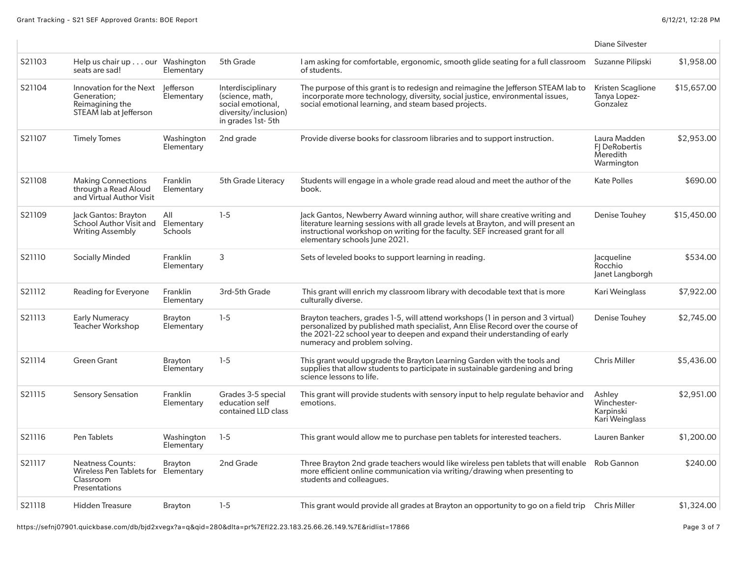|        |                                                                                     |                              |                                                                                                        |                                                                                                                                                                                                                                                                                      | <b>Diane Silvester</b>                                         |             |
|--------|-------------------------------------------------------------------------------------|------------------------------|--------------------------------------------------------------------------------------------------------|--------------------------------------------------------------------------------------------------------------------------------------------------------------------------------------------------------------------------------------------------------------------------------------|----------------------------------------------------------------|-------------|
| S21103 | Help us chair up our Washington<br>seats are sad!                                   | Elementary                   | 5th Grade                                                                                              | I am asking for comfortable, ergonomic, smooth glide seating for a full classroom<br>of students.                                                                                                                                                                                    | Suzanne Pilipski                                               | \$1,958.00  |
| S21104 | Innovation for the Next<br>Generation:<br>Reimagining the<br>STEAM lab at lefferson | lefferson<br>Elementary      | Interdisciplinary<br>(science, math,<br>social emotional,<br>diversity/inclusion)<br>in grades 1st-5th | The purpose of this grant is to redesign and reimagine the lefferson STEAM lab to<br>incorporate more technology, diversity, social justice, environmental issues,<br>social emotional learning, and steam based projects.                                                           | Kristen Scaglione<br>Tanya Lopez-<br>Gonzalez                  | \$15,657.00 |
| S21107 | <b>Timely Tomes</b>                                                                 | Washington<br>Elementary     | 2nd grade                                                                                              | Provide diverse books for classroom libraries and to support instruction.                                                                                                                                                                                                            | Laura Madden<br><b>FI DeRobertis</b><br>Meredith<br>Warmington | \$2,953.00  |
| S21108 | <b>Making Connections</b><br>through a Read Aloud<br>and Virtual Author Visit       | Franklin<br>Elementary       | 5th Grade Literacy                                                                                     | Students will engage in a whole grade read aloud and meet the author of the<br>book.                                                                                                                                                                                                 | <b>Kate Polles</b>                                             | \$690.00    |
| S21109 | Jack Gantos: Brayton<br>School Author Visit and<br><b>Writing Assembly</b>          | All<br>Elementary<br>Schools | $1 - 5$                                                                                                | Jack Gantos, Newberry Award winning author, will share creative writing and<br>literature learning sessions with all grade levels at Brayton, and will present an<br>instructional workshop on writing for the faculty. SEF increased grant for all<br>elementary schools June 2021. | Denise Touhey                                                  | \$15,450.00 |
| S21110 | <b>Socially Minded</b>                                                              | Franklin<br>Elementary       | 3                                                                                                      | Sets of leveled books to support learning in reading.                                                                                                                                                                                                                                | lacqueline<br>Rocchio<br>Janet Langborgh                       | \$534.00    |
| S21112 | Reading for Everyone                                                                | Franklin<br>Elementary       | 3rd-5th Grade                                                                                          | This grant will enrich my classroom library with decodable text that is more<br>culturally diverse.                                                                                                                                                                                  | Kari Weinglass                                                 | \$7,922.00  |
| S21113 | <b>Early Numeracy</b><br><b>Teacher Workshop</b>                                    | <b>Brayton</b><br>Elementary | $1-5$                                                                                                  | Brayton teachers, grades 1-5, will attend workshops (1 in person and 3 virtual)<br>personalized by published math specialist, Ann Elise Record over the course of<br>the 2021-22 school year to deepen and expand their understanding of early<br>numeracy and problem solving.      | Denise Touhey                                                  | \$2,745.00  |
| S21114 | <b>Green Grant</b>                                                                  | Brayton<br>Elementary        | $1-5$                                                                                                  | This grant would upgrade the Brayton Learning Garden with the tools and<br>supplies that allow students to participate in sustainable gardening and bring<br>science lessons to life.                                                                                                | <b>Chris Miller</b>                                            | \$5,436.00  |
| S21115 | <b>Sensory Sensation</b>                                                            | Franklin<br>Elementary       | Grades 3-5 special<br>education self<br>contained LLD class                                            | This grant will provide students with sensory input to help regulate behavior and<br>emotions.                                                                                                                                                                                       | Ashley<br>Winchester-<br>Karpinski<br>Kari Weinglass           | \$2,951.00  |
| S21116 | Pen Tablets                                                                         | Washington<br>Elementary     | $1-5$                                                                                                  | This grant would allow me to purchase pen tablets for interested teachers.                                                                                                                                                                                                           | Lauren Banker                                                  | \$1,200.00  |
| S21117 | <b>Neatness Counts:</b><br>Wireless Pen Tablets for<br>Classroom<br>Presentations   | <b>Brayton</b><br>Elementary | 2nd Grade                                                                                              | Three Brayton 2nd grade teachers would like wireless pen tablets that will enable Rob Gannon<br>more efficient online communication via writing/drawing when presenting to<br>students and colleagues.                                                                               |                                                                | \$240.00    |
| S21118 | <b>Hidden Treasure</b>                                                              | <b>Brayton</b>               | $1 - 5$                                                                                                | This grant would provide all grades at Brayton an opportunity to go on a field trip Chris Miller                                                                                                                                                                                     |                                                                | \$1,324.00  |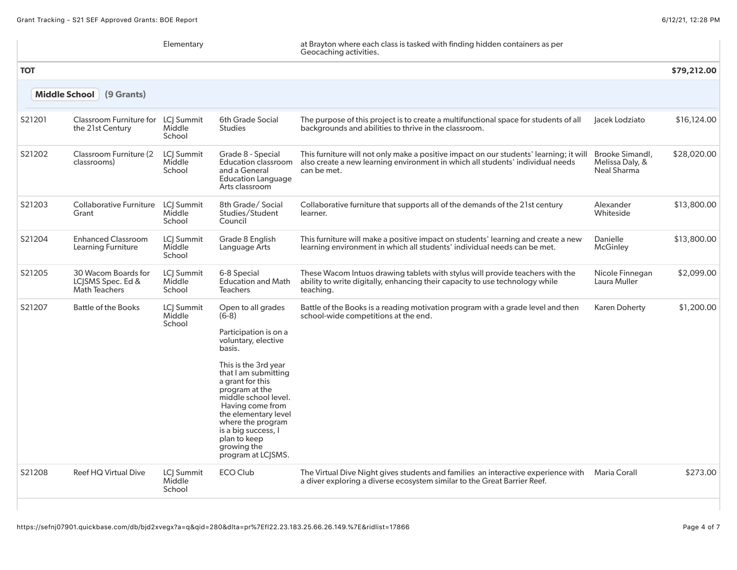|            |                                                                  | Elementary                            |                                                                                                                                                                                                                                                                                                                                                    | at Brayton where each class is tasked with finding hidden containers as per<br>Geocaching activities.                                                                                   |                                                   |             |
|------------|------------------------------------------------------------------|---------------------------------------|----------------------------------------------------------------------------------------------------------------------------------------------------------------------------------------------------------------------------------------------------------------------------------------------------------------------------------------------------|-----------------------------------------------------------------------------------------------------------------------------------------------------------------------------------------|---------------------------------------------------|-------------|
| <b>TOT</b> |                                                                  |                                       |                                                                                                                                                                                                                                                                                                                                                    |                                                                                                                                                                                         |                                                   | \$79,212.00 |
|            | (9 Grants)<br>Middle School                                      |                                       |                                                                                                                                                                                                                                                                                                                                                    |                                                                                                                                                                                         |                                                   |             |
| S21201     | Classroom Furniture for<br>the 21st Century                      | LC  Summit<br>Middle<br>School        | <b>6th Grade Social</b><br><b>Studies</b>                                                                                                                                                                                                                                                                                                          | The purpose of this project is to create a multifunctional space for students of all<br>backgrounds and abilities to thrive in the classroom.                                           | Jacek Lodziato                                    | \$16,124.00 |
| S21202     | Classroom Furniture (2)<br>classrooms)                           | LCI Summit<br>Middle<br>School        | Grade 8 - Special<br>Education classroom<br>and a General<br><b>Education Language</b><br>Arts classroom                                                                                                                                                                                                                                           | This furniture will not only make a positive impact on our students' learning; it will<br>also create a new learning environment in which all students' individual needs<br>can be met. | Brooke Simandl,<br>Melissa Daly, &<br>Neal Sharma | \$28,020.00 |
| S21203     | <b>Collaborative Furniture</b><br>Grant                          | LCJ Summit<br>Middle<br>School        | 8th Grade/Social<br>Studies/Student<br>Council                                                                                                                                                                                                                                                                                                     | Collaborative furniture that supports all of the demands of the 21st century<br>learner.                                                                                                | Alexander<br>Whiteside                            | \$13,800.00 |
| S21204     | <b>Enhanced Classroom</b><br>Learning Furniture                  | <b>LCI Summit</b><br>Middle<br>School | Grade 8 English<br>Language Arts                                                                                                                                                                                                                                                                                                                   | This furniture will make a positive impact on students' learning and create a new<br>learning environment in which all students' individual needs can be met.                           | Danielle<br>McGinley                              | \$13,800.00 |
| S21205     | 30 Wacom Boards for<br>LC SMS Spec. Ed &<br><b>Math Teachers</b> | LCI Summit<br>Middle<br>School        | 6-8 Special<br><b>Education and Math</b><br><b>Teachers</b>                                                                                                                                                                                                                                                                                        | These Wacom Intuos drawing tablets with stylus will provide teachers with the<br>ability to write digitally, enhancing their capacity to use technology while<br>teaching.              | Nicole Finnegan<br>Laura Muller                   | \$2,099.00  |
| S21207     | <b>Battle of the Books</b>                                       | <b>LCI</b> Summit<br>Middle<br>School | Open to all grades<br>$(6-8)$<br>Participation is on a<br>voluntary, elective<br>basis.<br>This is the 3rd year<br>that I am submitting<br>a grant for this<br>program at the<br>middle school level.<br>Having come from<br>the elementary level<br>where the program<br>is a big success, I<br>plan to keep<br>growing the<br>program at LC SMS. | Battle of the Books is a reading motivation program with a grade level and then<br>school-wide competitions at the end.                                                                 | <b>Karen Doherty</b>                              | \$1,200.00  |
| S21208     | <b>Reef HQ Virtual Dive</b>                                      | <b>LCI Summit</b><br>Middle<br>School | <b>ECO Club</b>                                                                                                                                                                                                                                                                                                                                    | The Virtual Dive Night gives students and families an interactive experience with<br>a diver exploring a diverse ecosystem similar to the Great Barrier Reef.                           | Maria Corall                                      | \$273.00    |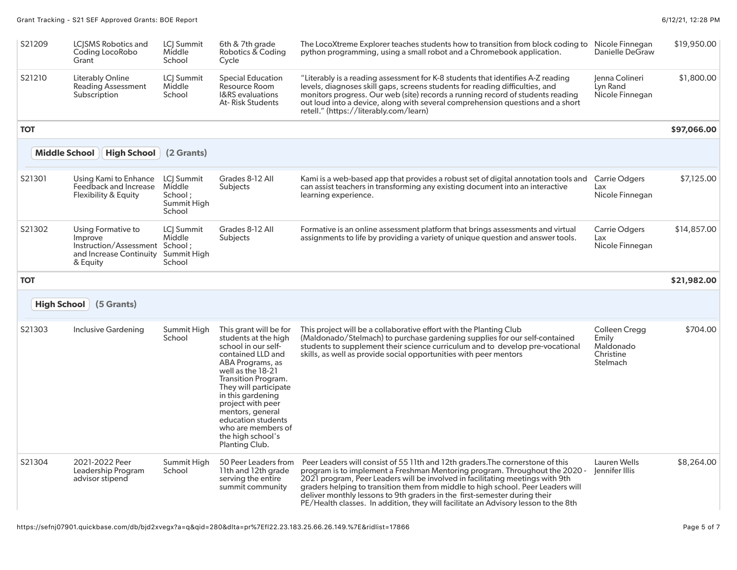| S21209               | LC SMS Robotics and<br>Coding LocoRobo<br>Grant                                                        | LC  Summit<br>Middle<br>School                                   | 6th & 7th grade<br>Robotics & Coding<br>Cycle                                                                                                                                                                                                                                                                                        | The LocoXtreme Explorer teaches students how to transition from block coding to Nicole Finnegan<br>python programming, using a small robot and a Chromebook application.                                                                                                                                                                                                      | Danielle DeGraw                                              | \$19,950.00 |
|----------------------|--------------------------------------------------------------------------------------------------------|------------------------------------------------------------------|--------------------------------------------------------------------------------------------------------------------------------------------------------------------------------------------------------------------------------------------------------------------------------------------------------------------------------------|-------------------------------------------------------------------------------------------------------------------------------------------------------------------------------------------------------------------------------------------------------------------------------------------------------------------------------------------------------------------------------|--------------------------------------------------------------|-------------|
| S21210               | Literably Online<br><b>Reading Assessment</b><br>Subscription                                          | <b>LCI Summit</b><br>Middle<br>School                            | <b>Special Education</b><br>Resource Room<br><b>I&amp;RS</b> evaluations<br>At- Risk Students                                                                                                                                                                                                                                        | "Literably is a reading assessment for K-8 students that identifies A-Z reading<br>levels, diagnoses skill gaps, screens students for reading difficulties, and<br>monitors progress. Our web (site) records a running record of students reading<br>out loud into a device, along with several comprehension questions and a short<br>retell." (https://literably.com/learn) | Jenna Colineri<br>Lyn Rand<br>Nicole Finnegan                | \$1,800.00  |
| <b>TOT</b>           |                                                                                                        |                                                                  |                                                                                                                                                                                                                                                                                                                                      |                                                                                                                                                                                                                                                                                                                                                                               |                                                              | \$97,066.00 |
| <b>Middle School</b> | High School                                                                                            | (2 Grants)                                                       |                                                                                                                                                                                                                                                                                                                                      |                                                                                                                                                                                                                                                                                                                                                                               |                                                              |             |
| S21301               | Using Kami to Enhance<br>Feedback and Increase<br>Flexibility & Equity                                 | <b>LCI</b> Summit<br>Middle<br>School ;<br>Summit High<br>School | Grades 8-12 All<br>Subjects                                                                                                                                                                                                                                                                                                          | Kami is a web-based app that provides a robust set of digital annotation tools and<br>can assist teachers in transforming any existing document into an interactive<br>learning experience.                                                                                                                                                                                   | <b>Carrie Odgers</b><br>Lax<br>Nicole Finnegan               | \$7,125.00  |
| S21302               | Using Formative to<br>Improve<br>Instruction/Assessment School:<br>and Increase Continuity<br>& Equity | LCJ Summit<br>Middle<br>Summit High<br>School                    | Grades 8-12 All<br>Subjects                                                                                                                                                                                                                                                                                                          | Formative is an online assessment platform that brings assessments and virtual<br>assignments to life by providing a variety of unique question and answer tools.                                                                                                                                                                                                             | <b>Carrie Odgers</b><br>Lax<br>Nicole Finnegan               | \$14,857.00 |
|                      |                                                                                                        |                                                                  |                                                                                                                                                                                                                                                                                                                                      |                                                                                                                                                                                                                                                                                                                                                                               |                                                              |             |
| <b>TOT</b>           |                                                                                                        |                                                                  |                                                                                                                                                                                                                                                                                                                                      |                                                                                                                                                                                                                                                                                                                                                                               |                                                              | \$21,982.00 |
| <b>High School</b>   | (5 Grants)                                                                                             |                                                                  |                                                                                                                                                                                                                                                                                                                                      |                                                                                                                                                                                                                                                                                                                                                                               |                                                              |             |
| S21303               | <b>Inclusive Gardening</b>                                                                             | Summit High<br>School                                            | This grant will be for<br>students at the high<br>school in our self-<br>contained LLD and<br>ABA Programs, as<br>well as the 18-21<br>Transition Program.<br>They will participate<br>in this gardening<br>project with peer<br>mentors, general<br>education students<br>who are members of<br>the high school's<br>Planting Club. | This project will be a collaborative effort with the Planting Club<br>(Maldonado/Stelmach) to purchase gardening supplies for our self-contained<br>students to supplement their science curriculum and to develop pre-vocational<br>skills, as well as provide social opportunities with peer mentors                                                                        | Colleen Cregg<br>Emily<br>Maldonado<br>Christine<br>Stelmach | \$704.00    |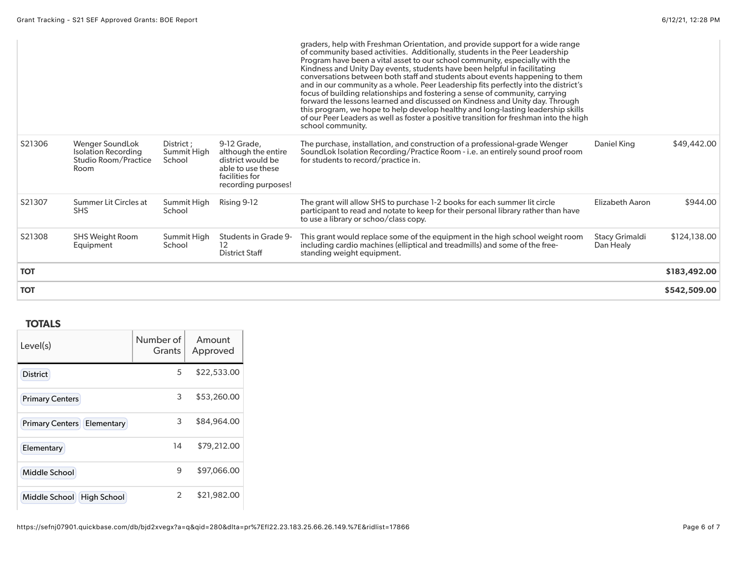| <b>TOT</b> |                                                                               |                                     |                                                                                                                       |                                                                                                                                                                                                                                                                                                                                                                                                                                                                                                                                                                                                                                                                                                                                                                                                                                                                      |                                    | \$542,509.00 |
|------------|-------------------------------------------------------------------------------|-------------------------------------|-----------------------------------------------------------------------------------------------------------------------|----------------------------------------------------------------------------------------------------------------------------------------------------------------------------------------------------------------------------------------------------------------------------------------------------------------------------------------------------------------------------------------------------------------------------------------------------------------------------------------------------------------------------------------------------------------------------------------------------------------------------------------------------------------------------------------------------------------------------------------------------------------------------------------------------------------------------------------------------------------------|------------------------------------|--------------|
| <b>TOT</b> |                                                                               |                                     |                                                                                                                       |                                                                                                                                                                                                                                                                                                                                                                                                                                                                                                                                                                                                                                                                                                                                                                                                                                                                      |                                    | \$183,492.00 |
| S21308     | <b>SHS Weight Room</b><br>Equipment                                           | Summit High<br>School               | Students in Grade 9-<br>12<br><b>District Staff</b>                                                                   | This grant would replace some of the equipment in the high school weight room<br>including cardio machines (elliptical and treadmills) and some of the free-<br>standing weight equipment.                                                                                                                                                                                                                                                                                                                                                                                                                                                                                                                                                                                                                                                                           | <b>Stacy Grimaldi</b><br>Dan Healy | \$124,138.00 |
| S21307     | Summer Lit Circles at<br><b>SHS</b>                                           | Summit High<br>School               | Rising 9-12                                                                                                           | The grant will allow SHS to purchase 1-2 books for each summer lit circle<br>participant to read and notate to keep for their personal library rather than have<br>to use a library or schoo/class copy.                                                                                                                                                                                                                                                                                                                                                                                                                                                                                                                                                                                                                                                             | Elizabeth Aaron                    | \$944.00     |
| S21306     | Wenger SoundLok<br><b>Isolation Recording</b><br>Studio Room/Practice<br>Room | District ;<br>Summit High<br>School | 9-12 Grade,<br>although the entire<br>district would be<br>able to use these<br>facilities for<br>recording purposes! | The purchase, installation, and construction of a professional-grade Wenger<br>SoundLok Isolation Recording/Practice Room - i.e. an entirely sound proof room<br>for students to record/practice in.                                                                                                                                                                                                                                                                                                                                                                                                                                                                                                                                                                                                                                                                 | Daniel King                        | \$49,442.00  |
|            |                                                                               |                                     |                                                                                                                       | graders, help with Freshman Orientation, and provide support for a wide range<br>of community based activities. Additionally, students in the Peer Leadership<br>Program have been a vital asset to our school community, especially with the<br>Kindness and Unity Day events, students have been helpful in facilitating<br>conversations between both staff and students about events happening to them<br>and in our community as a whole. Peer Leadership fits perfectly into the district's<br>focus of building relationships and fostering a sense of community, carrying<br>forward the lessons learned and discussed on Kindness and Unity day. Through<br>this program, we hope to help develop healthy and long-lasting leadership skills<br>of our Peer Leaders as well as foster a positive transition for freshman into the high<br>school community. |                                    |              |

## **TOTALS**

| Level(s)                            | Number of<br><b>Grants</b> | Amount<br>Approved |
|-------------------------------------|----------------------------|--------------------|
| <b>District</b>                     | 5                          | \$22,533.00        |
| <b>Primary Centers</b>              | 3                          | \$53,260.00        |
| <b>Primary Centers Elementary</b>   | 3                          | \$84,964.00        |
| Elementary                          | 14                         | \$79,212.00        |
| Middle School                       | 9                          | \$97,066.00        |
| <b>High School</b><br>Middle School | 2                          | \$21,982.00        |